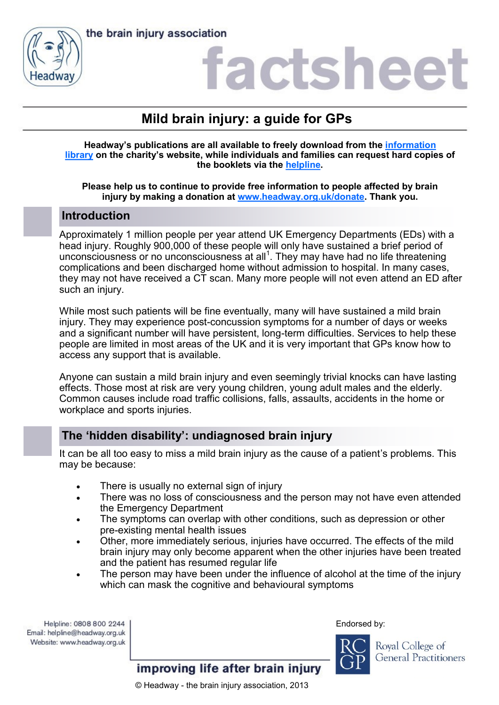



## factshee

## **Mild brain injury: a guide for GPs**

**Headway's publications are all available to freely download from the [information](https://www.headway.org.uk/about-brain-injury/individuals/information-library/)  [library](https://www.headway.org.uk/about-brain-injury/individuals/information-library/) on the charity's website, while individuals and families can request hard copies of the booklets via the [helpline.](https://www.headway.org.uk/supporting-you/helpline/)**

#### **Please help us to continue to provide free information to people affected by brain injury by making a donation at [www.headway.org.uk/donate.](http://www.headway.org.uk/donate) Thank you.**

### **Introduction**

Approximately 1 million people per year attend UK Emergency Departments (EDs) with a head injury. Roughly 900,000 of these people will only have sustained a brief period of unconsciousness or no unconsciousness at all $^1$ . They may have had no life threatening complications and been discharged home without admission to hospital. In many cases, they may not have received a CT scan. Many more people will not even attend an ED after such an injury.

While most such patients will be fine eventually, many will have sustained a mild brain injury. They may experience post-concussion symptoms for a number of days or weeks and a significant number will have persistent, long-term difficulties. Services to help these people are limited in most areas of the UK and it is very important that GPs know how to access any support that is available.

Anyone can sustain a mild brain injury and even seemingly trivial knocks can have lasting effects. Those most at risk are very young children, young adult males and the elderly. Common causes include road traffic collisions, falls, assaults, accidents in the home or workplace and sports injuries.

## **The 'hidden disability': undiagnosed brain injury**

It can be all too easy to miss a mild brain injury as the cause of a patient's problems. This may be because:

- There is usually no external sign of injury
- There was no loss of consciousness and the person may not have even attended the Emergency Department
- The symptoms can overlap with other conditions, such as depression or other pre-existing mental health issues
- Other, more immediately serious, injuries have occurred. The effects of the mild brain injury may only become apparent when the other injuries have been treated and the patient has resumed regular life
- The person may have been under the influence of alcohol at the time of the injury which can mask the cognitive and behavioural symptoms

Helpline: 0808 800 2244 Email: helpline@headway.org.uk Website: www.headway.org.uk Endorsed by:



Royal College of **General Practitioners** 

improving life after brain injury

© Headway - the brain injury association, 2013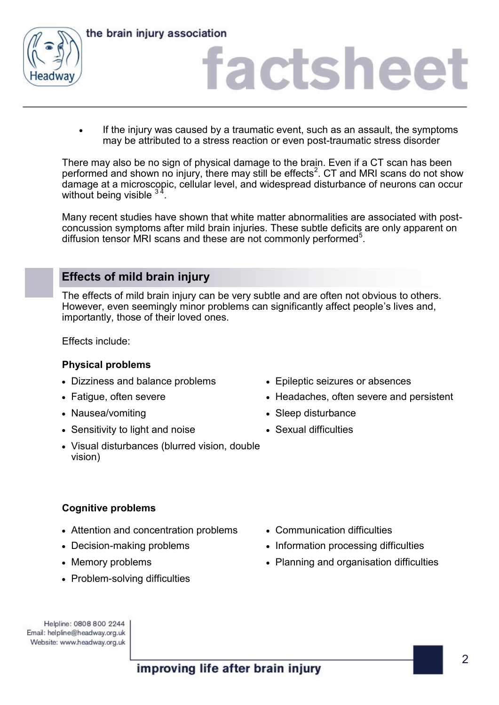

## iactsheet

If the injury was caused by a traumatic event, such as an assault, the symptoms may be attributed to a stress reaction or even post-traumatic stress disorder

There may also be no sign of physical damage to the brain. Even if a CT scan has been performed and shown no injury, there may still be effects $^2$ . CT and MRI scans do not show damage at a microscopic, cellular level, and widespread disturbance of neurons can occur without being visible  $3<sup>2</sup>$ .

Many recent studies have shown that white matter abnormalities are associated with postconcussion symptoms after mild brain injuries. These subtle deficits are only apparent on diffusion tensor MRI scans and these are not commonly performed<sup>5</sup>.

## **Effects of mild brain injury**

The effects of mild brain injury can be very subtle and are often not obvious to others. However, even seemingly minor problems can significantly affect people's lives and, importantly, those of their loved ones.

Effects include:

#### **Physical problems**

- Dizziness and balance problems Epileptic seizures or absences
- 
- 
- Sensitivity to light and noise Sexual difficulties
- Visual disturbances (blurred vision, double vision)
- 
- Fatigue, often severe **Frankl** Headaches, often severe and persistent
- Nausea/vomiting Sleep disturbance
	-

#### **Cognitive problems**

- Attention and concentration problems Communication difficulties
- 
- 
- Problem-solving difficulties
- 
- Decision-making problems Information processing difficulties
- Memory problems Planning and organisation difficulties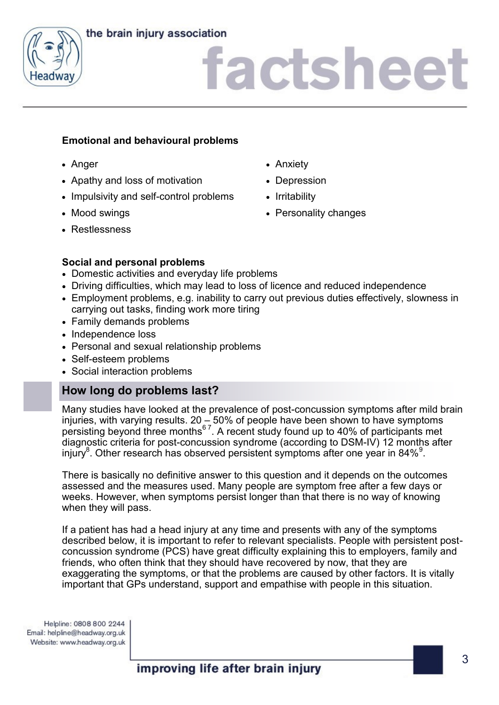

# factsheet

#### **Emotional and behavioural problems**

- 
- Apathy and loss of motivation Depression
- Impulsivity and self-control problems Irritability
- 
- Restlessness
- Anger Anxiety
	-
	-
- Mood swings Personality changes

#### **Social and personal problems**

- Domestic activities and everyday life problems
- Driving difficulties, which may lead to loss of licence and reduced independence
- Employment problems, e.g. inability to carry out previous duties effectively, slowness in carrying out tasks, finding work more tiring
- Family demands problems
- Independence loss
- Personal and sexual relationship problems
- Self-esteem problems
- Social interaction problems

## **How long do problems last?**

Many studies have looked at the prevalence of post-concussion symptoms after mild brain injuries, with varying results. 20 – 50% of people have been shown to have symptoms persisting beyond three months $^{67}$ . A recent study found up to 40% of participants met diagnostic criteria for post-concussion syndrome (according to DSM-IV) 12 months after injury $^8$ . Other research has observed persistent symptoms after one year in 84% $^9$ .

There is basically no definitive answer to this question and it depends on the outcomes assessed and the measures used. Many people are symptom free after a few days or weeks. However, when symptoms persist longer than that there is no way of knowing when they will pass.

If a patient has had a head injury at any time and presents with any of the symptoms described below, it is important to refer to relevant specialists. People with persistent postconcussion syndrome (PCS) have great difficulty explaining this to employers, family and friends, who often think that they should have recovered by now, that they are exaggerating the symptoms, or that the problems are caused by other factors. It is vitally important that GPs understand, support and empathise with people in this situation.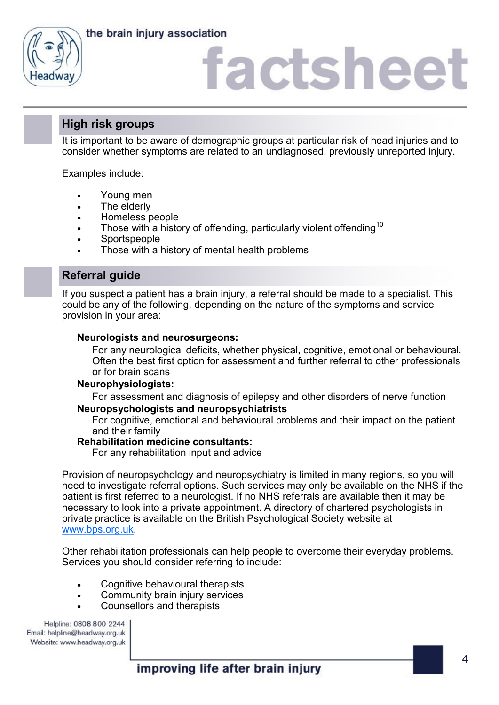



## factshee<sup>®</sup>

## **High risk groups**

It is important to be aware of demographic groups at particular risk of head injuries and to consider whether symptoms are related to an undiagnosed, previously unreported injury.

Examples include:

- Young men
- The elderly
- Homeless people
- Those with a history of offending, particularly violent offending  $10$
- **Sportspeople**
- Those with a history of mental health problems

## **Referral guide**

If you suspect a patient has a brain injury, a referral should be made to a specialist. This could be any of the following, depending on the nature of the symptoms and service provision in your area:

#### **Neurologists and neurosurgeons:**

For any neurological deficits, whether physical, cognitive, emotional or behavioural. Often the best first option for assessment and further referral to other professionals or for brain scans

#### **Neurophysiologists:**

For assessment and diagnosis of epilepsy and other disorders of nerve function **Neuropsychologists and neuropsychiatrists**

For cognitive, emotional and behavioural problems and their impact on the patient and their family

#### **Rehabilitation medicine consultants:**

For any rehabilitation input and advice

Provision of neuropsychology and neuropsychiatry is limited in many regions, so you will need to investigate referral options. Such services may only be available on the NHS if the patient is first referred to a neurologist. If no NHS referrals are available then it may be necessary to look into a private appointment. A directory of chartered psychologists in private practice is available on the British Psychological Society website at [www.bps.org.uk.](http://www.bps.org.uk) 

Other rehabilitation professionals can help people to overcome their everyday problems. Services you should consider referring to include:

- Cognitive behavioural therapists
- Community brain injury services
- Counsellors and therapists

Helpline: 0808 800 2244 Email: helpline@headway.org.uk Website: www.headway.org.uk

improving life after brain injury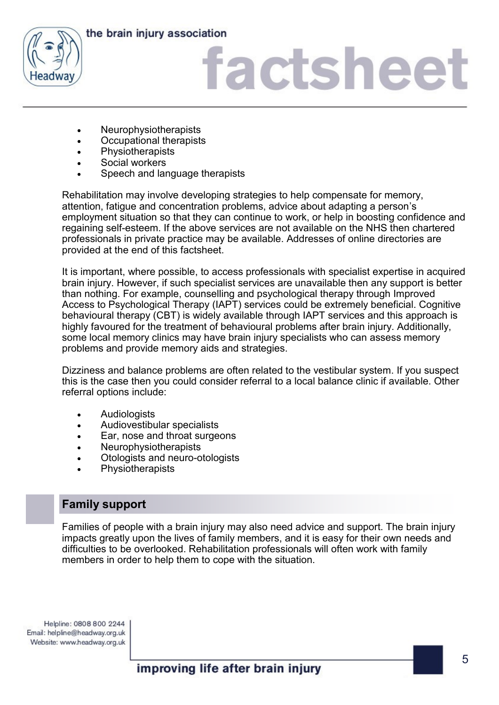

# factsheet

- Neurophysiotherapists
- Occupational therapists
- Physiotherapists
- Social workers
- Speech and language therapists

Rehabilitation may involve developing strategies to help compensate for memory, attention, fatigue and concentration problems, advice about adapting a person's employment situation so that they can continue to work, or help in boosting confidence and regaining self-esteem. If the above services are not available on the NHS then chartered professionals in private practice may be available. Addresses of online directories are provided at the end of this factsheet.

It is important, where possible, to access professionals with specialist expertise in acquired brain injury. However, if such specialist services are unavailable then any support is better than nothing. For example, counselling and psychological therapy through Improved Access to Psychological Therapy (IAPT) services could be extremely beneficial. Cognitive behavioural therapy (CBT) is widely available through IAPT services and this approach is highly favoured for the treatment of behavioural problems after brain injury. Additionally, some local memory clinics may have brain injury specialists who can assess memory problems and provide memory aids and strategies.

Dizziness and balance problems are often related to the vestibular system. If you suspect this is the case then you could consider referral to a local balance clinic if available. Other referral options include:

- **Audiologists**
- Audiovestibular specialists
- Ear, nose and throat surgeons
- **Neurophysiotherapists**
- Otologists and neuro-otologists
- **Physiotherapists**

## **Family support**

Families of people with a brain injury may also need advice and support. The brain injury impacts greatly upon the lives of family members, and it is easy for their own needs and difficulties to be overlooked. Rehabilitation professionals will often work with family members in order to help them to cope with the situation.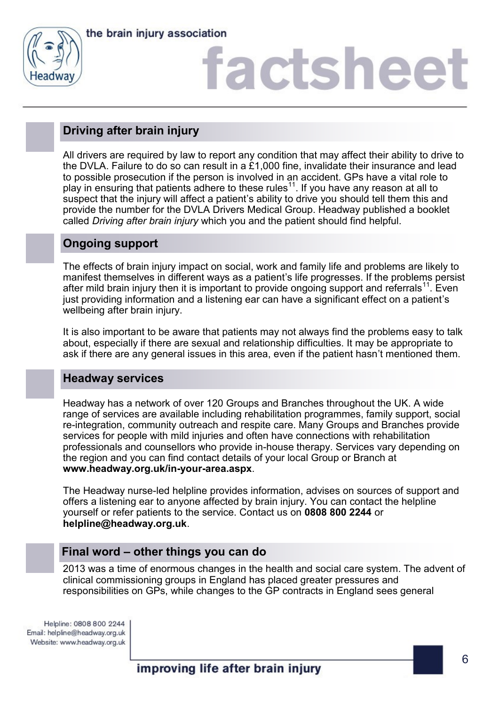

# factsheet

## **Driving after brain injury**

All drivers are required by law to report any condition that may affect their ability to drive to the DVLA. Failure to do so can result in a £1,000 fine, invalidate their insurance and lead to possible prosecution if the person is involved in an accident. GPs have a vital role to play in ensuring that patients adhere to these rules<sup>11</sup>. If you have any reason at all to suspect that the injury will affect a patient's ability to drive you should tell them this and provide the number for the DVLA Drivers Medical Group. Headway published a booklet called *Driving after brain injury* which you and the patient should find helpful.

## **Ongoing support**

The effects of brain injury impact on social, work and family life and problems are likely to manifest themselves in different ways as a patient's life progresses. If the problems persist after mild brain injury then it is important to provide ongoing support and referrals<sup>11</sup>. Even just providing information and a listening ear can have a significant effect on a patient's wellbeing after brain injury.

It is also important to be aware that patients may not always find the problems easy to talk about, especially if there are sexual and relationship difficulties. It may be appropriate to ask if there are any general issues in this area, even if the patient hasn't mentioned them.

## **Headway services**

Headway has a network of over 120 Groups and Branches throughout the UK. A wide range of services are available including rehabilitation programmes, family support, social re-integration, community outreach and respite care. Many Groups and Branches provide services for people with mild injuries and often have connections with rehabilitation professionals and counsellors who provide in-house therapy. Services vary depending on the region and you can find contact details of your local Group or Branch at **www.headway.org.uk/in-your-area.aspx**.

The Headway nurse-led helpline provides information, advises on sources of support and offers a listening ear to anyone affected by brain injury. You can contact the helpline yourself or refer patients to the service. Contact us on **0808 800 2244** or **helpline@headway.org.uk**.

## **Final word – other things you can do**

2013 was a time of enormous changes in the health and social care system. The advent of clinical commissioning groups in England has placed greater pressures and responsibilities on GPs, while changes to the GP contracts in England sees general

Helpline: 0808 800 2244 Email: helpline@headway.org.uk Website: www.headway.org.uk

improving life after brain injury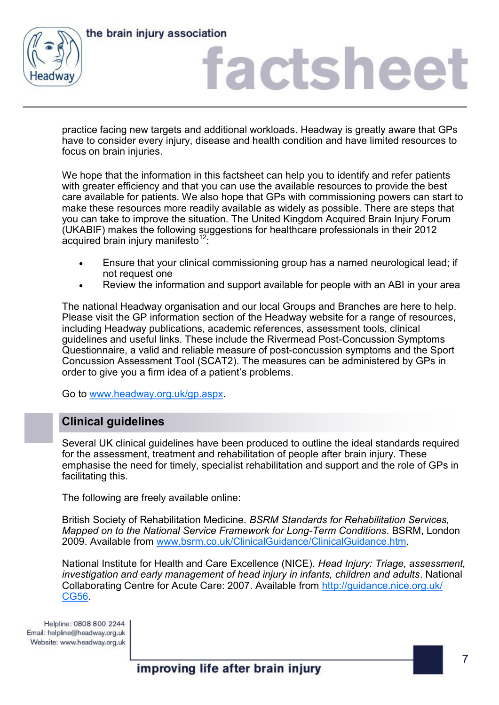



## factshee<sup>®</sup>

practice facing new targets and additional workloads. Headway is greatly aware that GPs have to consider every injury, disease and health condition and have limited resources to focus on brain injuries.

We hope that the information in this factsheet can help you to identify and refer patients with greater efficiency and that you can use the available resources to provide the best care available for patients. We also hope that GPs with commissioning powers can start to make these resources more readily available as widely as possible. There are steps that you can take to improve the situation. The United Kingdom Acquired Brain Injury Forum (UKABIF) makes the following suggestions for healthcare professionals in their 2012 acquired brain injury manifesto $12$ .

- Ensure that your clinical commissioning group has a named neurological lead; if not request one
- Review the information and support available for people with an ABI in your area

The national Headway organisation and our local Groups and Branches are here to help. Please visit the GP information section of the Headway website for a range of resources, including Headway publications, academic references, assessment tools, clinical guidelines and useful links. These include the Rivermead Post-Concussion Symptoms Questionnaire, a valid and reliable measure of post-concussion symptoms and the Sport Concussion Assessment Tool (SCAT2). The measures can be administered by GPs in order to give you a firm idea of a patient's problems.

Go to [www.headway.org.uk/gp.aspx.](http://www.headway.org.uk/gp.aspx) 

## **Clinical guidelines**

Several UK clinical guidelines have been produced to outline the ideal standards required for the assessment, treatment and rehabilitation of people after brain injury. These emphasise the need for timely, specialist rehabilitation and support and the role of GPs in facilitating this.

The following are freely available online:

British Society of Rehabilitation Medicine. *BSRM Standards for Rehabilitation Services, Mapped on to the National Service Framework for Long-Term Conditions*. BSRM, London 2009. Available from [www.bsrm.co.uk/ClinicalGuidance/ClinicalGuidance.htm.](http://www.bsrm.co.uk/ClinicalGuidance/ClinicalGuidance.htm)

National Institute for Health and Care Excellence (NICE). *Head Injury: Triage, assessment, investigation and early management of head injury in infants, children and adults*. National Collaborating Centre for Acute Care: 2007. Available from [http://guidance.nice.org.uk/](http://guidance.nice.org.uk/CG56) [CG56.](http://guidance.nice.org.uk/CG56)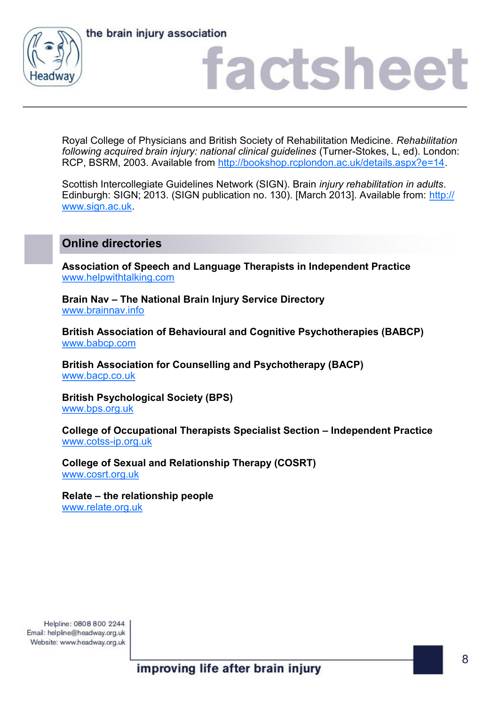





Royal College of Physicians and British Society of Rehabilitation Medicine. *Rehabilitation following acquired brain injury: national clinical guidelines* (Turner-Stokes, L, ed). London: RCP, BSRM, 2003. Available from [http://bookshop.rcplondon.ac.uk/details.aspx?e=14.](http://bookshop.rcplondon.ac.uk/details.aspx?e=14)

Scottish Intercollegiate Guidelines Network (SIGN). Brain *injury rehabilitation in adults*. Edinburgh: SIGN; 2013. (SIGN publication no. 130). [March 2013]. Available from: [http://](http://www.sign.ac.uk) [www.sign.ac.uk.](http://www.sign.ac.uk)

## **Online directories**

**Association of Speech and Language Therapists in Independent Practice** [www.helpwithtalking.com](http://www.helpwithtalking.com)

**Brain Nav – The National Brain Injury Service Directory** [www.brainnav.info](http://www.brainnav.info)

**British Association of Behavioural and Cognitive Psychotherapies (BABCP)** [www.babcp.com](http://www.babcp.com)

**British Association for Counselling and Psychotherapy (BACP)** [www.bacp.co.uk](http://www.bacp.co.uk)

**British Psychological Society (BPS)** [www.bps.org.uk](http://www.bps.org.uk)

**College of Occupational Therapists Specialist Section – Independent Practice** [www.cotss](http://www.cotss-ip.org.uk)-ip.org.uk

**College of Sexual and Relationship Therapy (COSRT)** [www.cosrt.org.uk](http://www.cosrt.org.uk)

**Relate – the relationship people** [www.relate.org.uk](http://www.relate.org.uk)